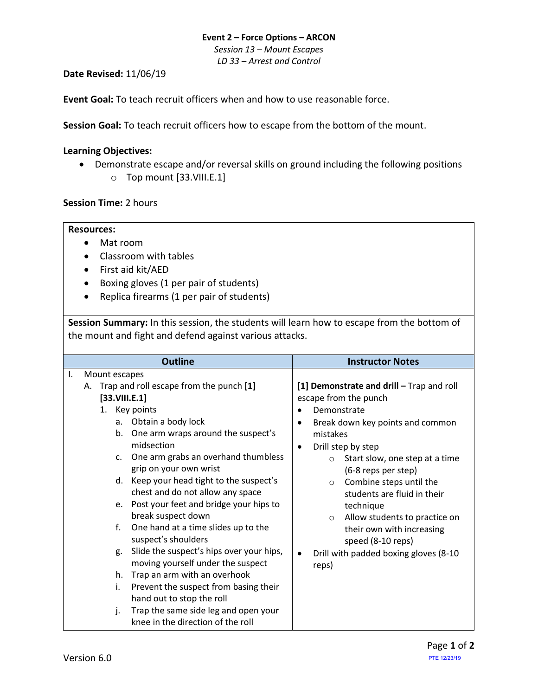## **Event 2 – Force Options – ARCON**

*Session 13 – Mount Escapes LD 33 – Arrest and Control*

**Date Revised:** 11/06/19

**Event Goal:** To teach recruit officers when and how to use reasonable force.

**Session Goal:** To teach recruit officers how to escape from the bottom of the mount.

## <span id="page-0-1"></span>**Learning Objectives:**

• Demonstrate escape and/or reversal skills on ground including the following positions o Top mount [\[33.VIII.E.1\]](#page-0-0)

**Session Time:** 2 hours

## **Resources:**

- Mat room
- Classroom with tables
- First aid kit/AED
- Boxing gloves (1 per pair of students)
- Replica firearms (1 per pair of students)

**Session Summary:** In this session, the students will learn how to escape from the bottom of the mount and fight and defend against various attacks.

<span id="page-0-0"></span>

|                                                                                                                                  | <b>Outline</b>                                                                                                                                                                                                                                                                                                                                                                                                                                                                                                                                                                                                                                                    | <b>Instructor Notes</b>                                                                                                                                                                                                                                                                                                                                                                                                                                                                 |  |
|----------------------------------------------------------------------------------------------------------------------------------|-------------------------------------------------------------------------------------------------------------------------------------------------------------------------------------------------------------------------------------------------------------------------------------------------------------------------------------------------------------------------------------------------------------------------------------------------------------------------------------------------------------------------------------------------------------------------------------------------------------------------------------------------------------------|-----------------------------------------------------------------------------------------------------------------------------------------------------------------------------------------------------------------------------------------------------------------------------------------------------------------------------------------------------------------------------------------------------------------------------------------------------------------------------------------|--|
| Mount escapes<br>Ι.<br>А.<br>[33.VIII.E.1]<br>1. Key points<br>a.<br>b.<br>$C_{\star}$<br>d.<br>e.<br>f.<br>g.<br>h.<br>i.<br>j. | Trap and roll escape from the punch [1]<br>Obtain a body lock<br>One arm wraps around the suspect's<br>midsection<br>One arm grabs an overhand thumbless<br>grip on your own wrist<br>Keep your head tight to the suspect's<br>chest and do not allow any space<br>Post your feet and bridge your hips to<br>break suspect down<br>One hand at a time slides up to the<br>suspect's shoulders<br>Slide the suspect's hips over your hips,<br>moving yourself under the suspect<br>Trap an arm with an overhook<br>Prevent the suspect from basing their<br>hand out to stop the roll<br>Trap the same side leg and open your<br>knee in the direction of the roll | [1] Demonstrate and drill - Trap and roll<br>escape from the punch<br>Demonstrate<br>Break down key points and common<br>$\bullet$<br>mistakes<br>Drill step by step<br>Start slow, one step at a time<br>$\circ$<br>(6-8 reps per step)<br>Combine steps until the<br>$\circ$<br>students are fluid in their<br>technique<br>Allow students to practice on<br>$\circ$<br>their own with increasing<br>speed (8-10 reps)<br>Drill with padded boxing gloves (8-10<br>$\bullet$<br>reps) |  |